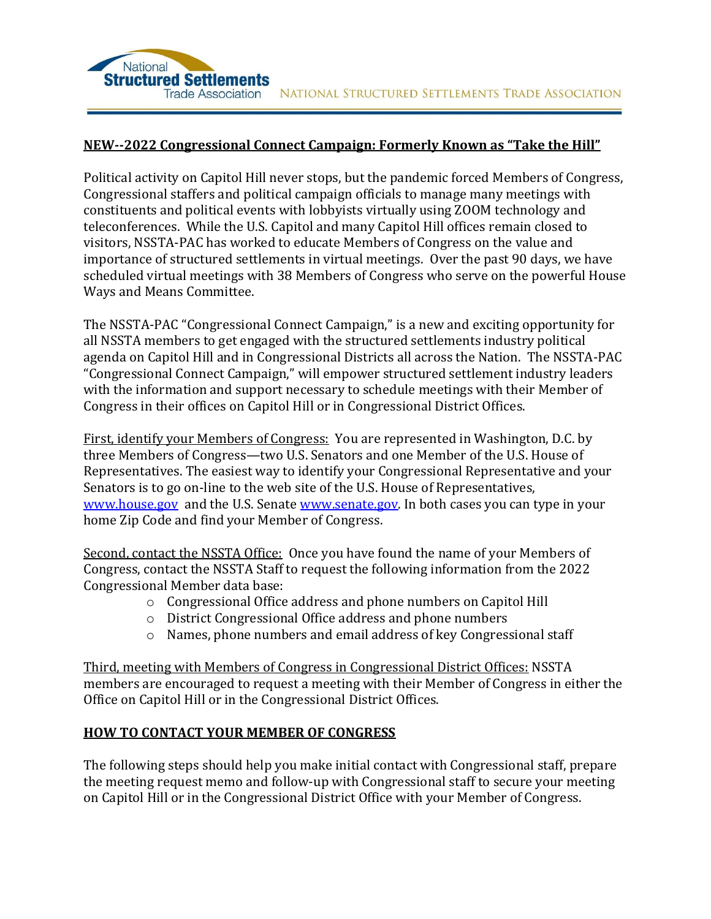

## **NEW--2022 Congressional Connect Campaign: Formerly Known as "Take the Hill"**

Political activity on Capitol Hill never stops, but the pandemic forced Members of Congress, Congressional staffers and political campaign officials to manage many meetings with constituents and political events with lobbyists virtually using ZOOM technology and teleconferences. While the U.S. Capitol and many Capitol Hill offices remain closed to visitors, NSSTA-PAC has worked to educate Members of Congress on the value and importance of structured settlements in virtual meetings. Over the past 90 days, we have scheduled virtual meetings with 38 Members of Congress who serve on the powerful House Ways and Means Committee.

The NSSTA-PAC "Congressional Connect Campaign," is a new and exciting opportunity for all NSSTA members to get engaged with the structured settlements industry political agenda on Capitol Hill and in Congressional Districts all across the Nation. The NSSTA-PAC "Congressional Connect Campaign," will empower structured settlement industry leaders with the information and support necessary to schedule meetings with their Member of Congress in their offices on Capitol Hill or in Congressional District Offices.

First, identify your Members of Congress: You are represented in Washington, D.C. by three Members of Congress—two U.S. Senators and one Member of the U.S. House of Representatives. The easiest way to identify your Congressional Representative and your Senators is to go on-line to the web site of the U.S. House of Representatives, [www.house.gov](http://www.house.gov/) and the U.S. Senate [www.senate.gov.](http://www.senate.gov/) In both cases you can type in your home Zip Code and find your Member of Congress.

Second, contact the NSSTA Office: Once you have found the name of your Members of Congress, contact the NSSTA Staff to request the following information from the 2022 Congressional Member data base:

- o Congressional Office address and phone numbers on Capitol Hill
- o District Congressional Office address and phone numbers
- o Names, phone numbers and email address of key Congressional staff

Third, meeting with Members of Congress in Congressional District Offices: NSSTA members are encouraged to request a meeting with their Member of Congress in either the Office on Capitol Hill or in the Congressional District Offices.

## **HOW TO CONTACT YOUR MEMBER OF CONGRESS**

The following steps should help you make initial contact with Congressional staff, prepare the meeting request memo and follow-up with Congressional staff to secure your meeting on Capitol Hill or in the Congressional District Office with your Member of Congress.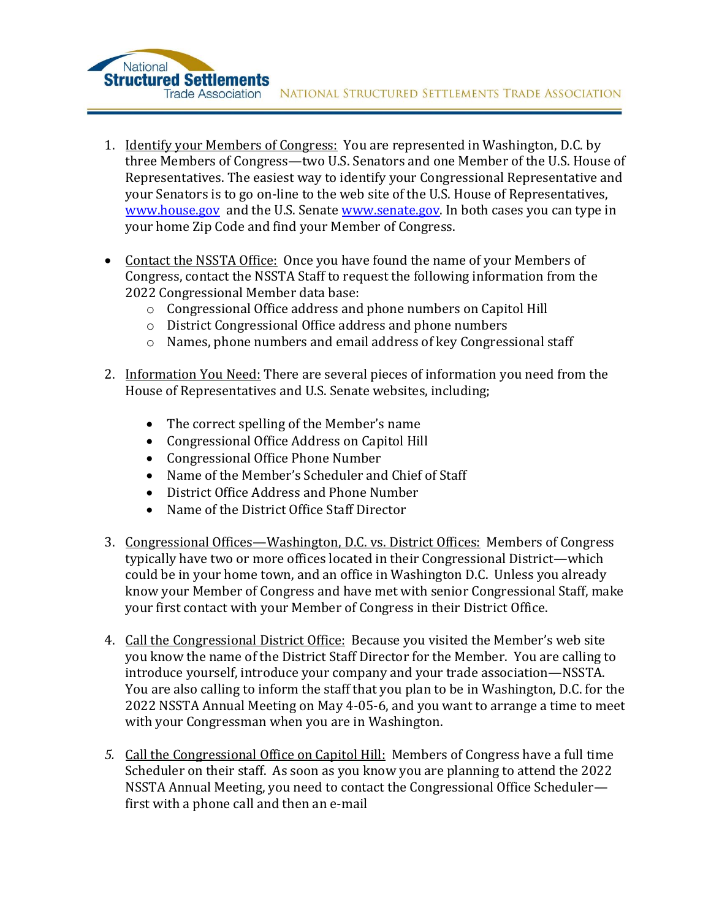- 1. Identify your Members of Congress: You are represented in Washington, D.C. by three Members of Congress—two U.S. Senators and one Member of the U.S. House of Representatives. The easiest way to identify your Congressional Representative and your Senators is to go on-line to the web site of the U.S. House of Representatives, [www.house.gov](http://www.house.gov/) and the U.S. Senate [www.senate.gov.](http://www.senate.gov/) In both cases you can type in your home Zip Code and find your Member of Congress.
- Contact the NSSTA Office: Once you have found the name of your Members of Congress, contact the NSSTA Staff to request the following information from the 2022 Congressional Member data base:
	- o Congressional Office address and phone numbers on Capitol Hill
	- o District Congressional Office address and phone numbers
	- o Names, phone numbers and email address of key Congressional staff
- 2. Information You Need: There are several pieces of information you need from the House of Representatives and U.S. Senate websites, including;
	- The correct spelling of the Member's name
	- Congressional Office Address on Capitol Hill
	- Congressional Office Phone Number

National

**Structured Settlements** 

- Name of the Member's Scheduler and Chief of Staff
- District Office Address and Phone Number
- Name of the District Office Staff Director
- 3. Congressional Offices—Washington, D.C. vs. District Offices: Members of Congress typically have two or more offices located in their Congressional District—which could be in your home town, and an office in Washington D.C. Unless you already know your Member of Congress and have met with senior Congressional Staff, make your first contact with your Member of Congress in their District Office.
- 4. Call the Congressional District Office: Because you visited the Member's web site you know the name of the District Staff Director for the Member. You are calling to introduce yourself, introduce your company and your trade association—NSSTA. You are also calling to inform the staff that you plan to be in Washington, D.C. for the 2022 NSSTA Annual Meeting on May 4-05-6, and you want to arrange a time to meet with your Congressman when you are in Washington.
- *5.* Call the Congressional Office on Capitol Hill: Members of Congress have a full time Scheduler on their staff. As soon as you know you are planning to attend the 2022 NSSTA Annual Meeting, you need to contact the Congressional Office Scheduler first with a phone call and then an e-mail